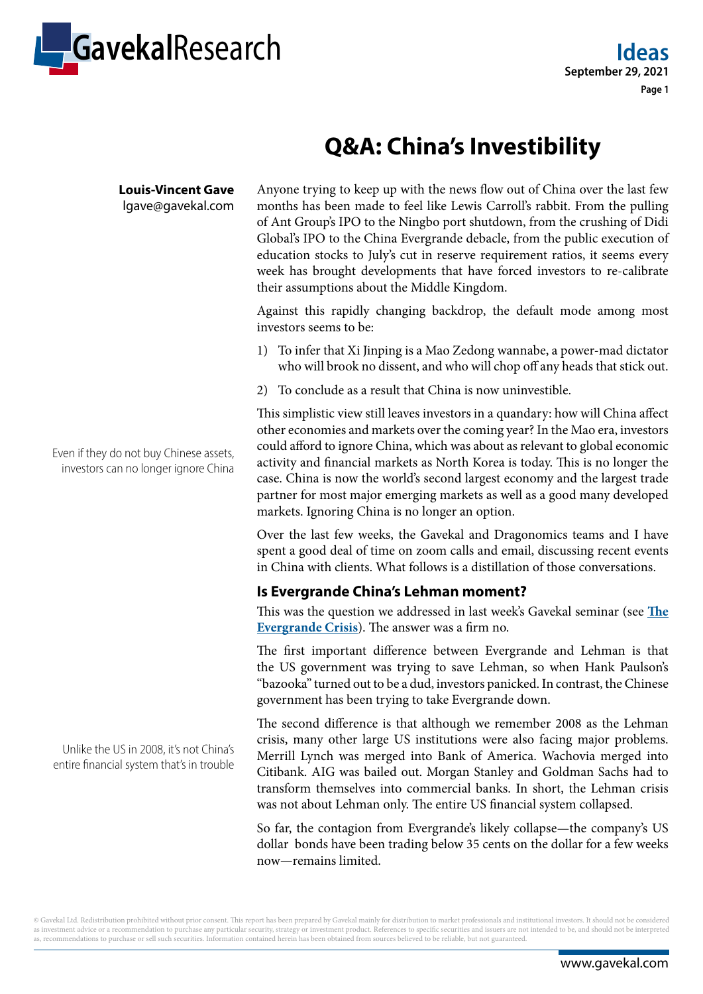

# **Q&A: China's Investibility**

**Louis-Vincent Gave** lgave@gavekal.com Anyone trying to keep up with the news flow out of China over the last few months has been made to feel like Lewis Carroll's rabbit. From the pulling of Ant Group's IPO to the Ningbo port shutdown, from the crushing of Didi Global's IPO to the China Evergrande debacle, from the public execution of education stocks to July's cut in reserve requirement ratios, it seems every week has brought developments that have forced investors to re-calibrate their assumptions about the Middle Kingdom.

Against this rapidly changing backdrop, the default mode among most investors seems to be:

- 1) To infer that Xi Jinping is a Mao Zedong wannabe, a power-mad dictator who will brook no dissent, and who will chop off any heads that stick out.
- 2) To conclude as a result that China is now uninvestible.

This simplistic view still leaves investors in a quandary: how will China affect other economies and markets over the coming year? In the Mao era, investors could afford to ignore China, which was about as relevant to global economic activity and financial markets as North Korea is today. This is no longer the case. China is now the world's second largest economy and the largest trade partner for most major emerging markets as well as a good many developed markets. Ignoring China is no longer an option.

Over the last few weeks, the Gavekal and Dragonomics teams and I have spent a good deal of time on zoom calls and email, discussing recent events in China with clients. What follows is a distillation of those conversations.

## **Is Evergrande China's Lehman moment?**

This was the question we addressed in last week's Gavekal seminar (see **[The](https://research.gavekal.com/content/webinar-evergrande-crisis) [Evergrande Crisis](https://research.gavekal.com/content/webinar-evergrande-crisis)**). The answer was a firm no.

The first important difference between Evergrande and Lehman is that the US government was trying to save Lehman, so when Hank Paulson's "bazooka" turned out to be a dud, investors panicked. In contrast, the Chinese government has been trying to take Evergrande down.

The second difference is that although we remember 2008 as the Lehman crisis, many other large US institutions were also facing major problems. Merrill Lynch was merged into Bank of America. Wachovia merged into Citibank. AIG was bailed out. Morgan Stanley and Goldman Sachs had to transform themselves into commercial banks. In short, the Lehman crisis was not about Lehman only. The entire US financial system collapsed.

So far, the contagion from Evergrande's likely collapse—the company's US dollar bonds have been trading below 35 cents on the dollar for a few weeks now—remains limited.

Even if they do not buy Chinese assets, investors can no longer ignore China

Unlike the US in 2008, it's not China's entire financial system that's in trouble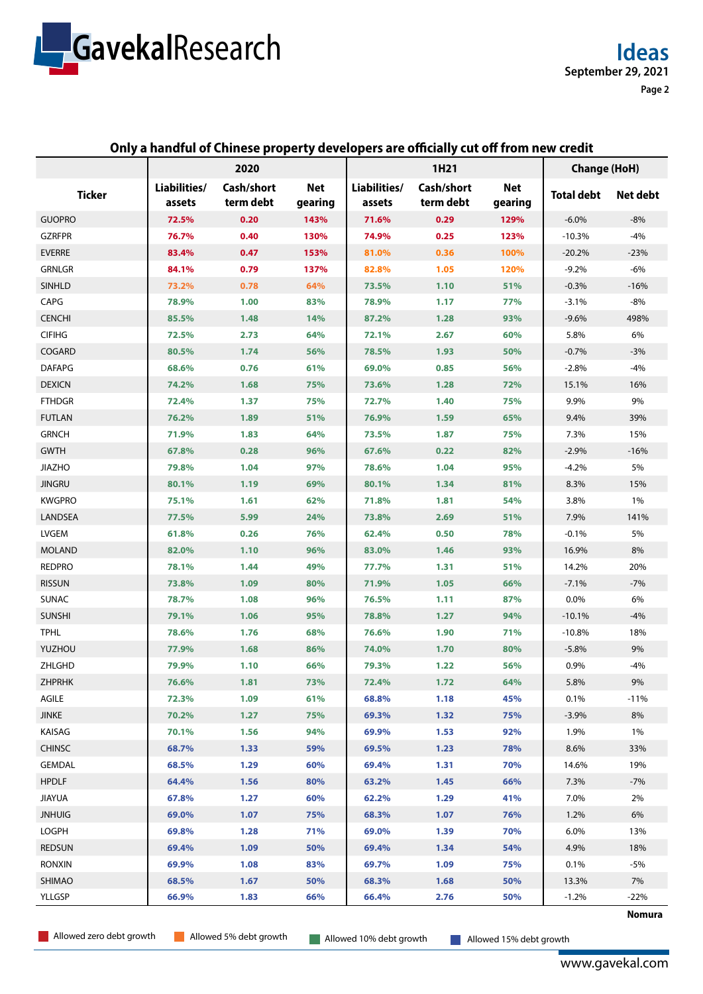

#### **Only a handful of Chinese property developers are officially cut off from new credit**

|               | 2020                   |                         |                       | 1H21                   |                         |                 | <b>Change (HoH)</b> |          |
|---------------|------------------------|-------------------------|-----------------------|------------------------|-------------------------|-----------------|---------------------|----------|
| <b>Ticker</b> | Liabilities/<br>assets | Cash/short<br>term debt | <b>Net</b><br>gearing | Liabilities/<br>assets | Cash/short<br>term debt | Net:<br>gearing | <b>Total debt</b>   | Net debt |
| <b>GUOPRO</b> | 72.5%                  | 0.20                    | 143%                  | 71.6%                  | 0.29                    | 129%            | $-6.0%$             | $-8%$    |
| <b>GZRFPR</b> | 76.7%                  | 0.40                    | 130%                  | 74.9%                  | 0.25                    | 123%            | $-10.3%$            | $-4%$    |
| <b>EVERRE</b> | 83.4%                  | 0.47                    | 153%                  | 81.0%                  | 0.36                    | 100%            | $-20.2%$            | $-23%$   |
| <b>GRNLGR</b> | 84.1%                  | 0.79                    | 137%                  | 82.8%                  | 1.05                    | 120%            | $-9.2%$             | $-6%$    |
| <b>SINHLD</b> | 73.2%                  | 0.78                    | 64%                   | 73.5%                  | 1.10                    | 51%             | $-0.3%$             | $-16%$   |
| CAPG          | 78.9%                  | 1.00                    | 83%                   | 78.9%                  | 1.17                    | 77%             | $-3.1%$             | $-8%$    |
| <b>CENCHI</b> | 85.5%                  | 1.48                    | 14%                   | 87.2%                  | 1.28                    | 93%             | $-9.6%$             | 498%     |
| <b>CIFIHG</b> | 72.5%                  | 2.73                    | 64%                   | 72.1%                  | 2.67                    | 60%             | 5.8%                | 6%       |
| COGARD        | 80.5%                  | 1.74                    | 56%                   | 78.5%                  | 1.93                    | 50%             | $-0.7%$             | $-3%$    |
| <b>DAFAPG</b> | 68.6%                  | 0.76                    | 61%                   | 69.0%                  | 0.85                    | 56%             | $-2.8%$             | $-4%$    |
| <b>DEXICN</b> | 74.2%                  | 1.68                    | 75%                   | 73.6%                  | 1.28                    | 72%             | 15.1%               | 16%      |
| <b>FTHDGR</b> | 72.4%                  | 1.37                    | 75%                   | 72.7%                  | 1.40                    | 75%             | 9.9%                | 9%       |
| <b>FUTLAN</b> | 76.2%                  | 1.89                    | 51%                   | 76.9%                  | 1.59                    | 65%             | 9.4%                | 39%      |
| <b>GRNCH</b>  | 71.9%                  | 1.83                    | 64%                   | 73.5%                  | 1.87                    | 75%             | 7.3%                | 15%      |
| <b>GWTH</b>   | 67.8%                  | 0.28                    | 96%                   | 67.6%                  | 0.22                    | 82%             | $-2.9%$             | $-16%$   |
| <b>JIAZHO</b> | 79.8%                  | 1.04                    | 97%                   | 78.6%                  | 1.04                    | 95%             | $-4.2%$             | 5%       |
| <b>JINGRU</b> | 80.1%                  | 1.19                    | 69%                   | 80.1%                  | 1.34                    | 81%             | 8.3%                | 15%      |
| <b>KWGPRO</b> | 75.1%                  | 1.61                    | 62%                   | 71.8%                  | 1.81                    | 54%             | 3.8%                | 1%       |
| LANDSEA       | 77.5%                  | 5.99                    | 24%                   | 73.8%                  | 2.69                    | 51%             | 7.9%                | 141%     |
| LVGEM         | 61.8%                  | 0.26                    | 76%                   | 62.4%                  | 0.50                    | 78%             | $-0.1%$             | 5%       |
| <b>MOLAND</b> | 82.0%                  | 1.10                    | 96%                   | 83.0%                  | 1.46                    | 93%             | 16.9%               | 8%       |
| <b>REDPRO</b> | 78.1%                  | 1.44                    | 49%                   | 77.7%                  | 1.31                    | 51%             | 14.2%               | 20%      |
| <b>RISSUN</b> | 73.8%                  | 1.09                    | 80%                   | 71.9%                  | 1.05                    | 66%             | $-7.1%$             | $-7%$    |
| <b>SUNAC</b>  | 78.7%                  | 1.08                    | 96%                   | 76.5%                  | 1.11                    | 87%             | 0.0%                | 6%       |
| <b>SUNSHI</b> | 79.1%                  | 1.06                    | 95%                   | 78.8%                  | 1.27                    | 94%             | $-10.1%$            | $-4%$    |
| <b>TPHL</b>   | 78.6%                  | 1.76                    | 68%                   | 76.6%                  | 1.90                    | 71%             | $-10.8%$            | 18%      |
| YUZHOU        | 77.9%                  | 1.68                    | 86%                   | 74.0%                  | 1.70                    | 80%             | $-5.8%$             | 9%       |
| ZHLGHD        | 79.9%                  | 1.10                    | 66%                   | 79.3%                  | 1.22                    | 56%             | 0.9%                | $-4%$    |
| <b>ZHPRHK</b> | 76.6%                  | 1.81                    | 73%                   | 72.4%                  | 1.72                    | 64%             | 5.8%                | 9%       |
| AGILE         | 72.3%                  | 1.09                    | 61%                   | 68.8%                  | 1.18                    | 45%             | 0.1%                | $-11%$   |
| <b>JINKE</b>  | 70.2%                  | 1.27                    | 75%                   | 69.3%                  | 1.32                    | 75%             | $-3.9%$             | 8%       |
| KAISAG        | 70.1%                  | 1.56                    | 94%                   | 69.9%                  | 1.53                    | 92%             | 1.9%                | 1%       |
| <b>CHINSC</b> | 68.7%                  | 1.33                    | 59%                   | 69.5%                  | 1.23                    | 78%             | 8.6%                | 33%      |
| <b>GEMDAL</b> | 68.5%                  | 1.29                    | 60%                   | 69.4%                  | 1.31                    | 70%             | 14.6%               | 19%      |
| <b>HPDLF</b>  | 64.4%                  | 1.56                    | 80%                   | 63.2%                  | 1.45                    | 66%             | 7.3%                | $-7%$    |
| <b>JIAYUA</b> | 67.8%                  | 1.27                    | 60%                   | 62.2%                  | 1.29                    | 41%             | 7.0%                | 2%       |
| <b>JNHUIG</b> | 69.0%                  | 1.07                    | 75%                   | 68.3%                  | 1.07                    | 76%             | 1.2%                | 6%       |
| LOGPH         | 69.8%                  | 1.28                    | 71%                   | 69.0%                  | 1.39                    | 70%             | 6.0%                | 13%      |
| <b>REDSUN</b> | 69.4%                  | 1.09                    | 50%                   | 69.4%                  | 1.34                    | 54%             | 4.9%                | 18%      |
| <b>RONXIN</b> | 69.9%                  | 1.08                    | 83%                   | 69.7%                  | 1.09                    | 75%             | 0.1%                | $-5%$    |
| SHIMAO        | 68.5%                  | 1.67                    | 50%                   | 68.3%                  | 1.68                    | 50%             | 13.3%               | 7%       |
| YLLGSP        | 66.9%                  | 1.83                    | 66%                   | 66.4%                  | 2.76                    | 50%             | $-1.2%$             | $-22%$   |
|               |                        |                         |                       |                        |                         |                 |                     | Nomura   |

Allowed zero debt growth **Allowed 5% debt growth** Allowed 10% debt growth Allowed 15% debt growth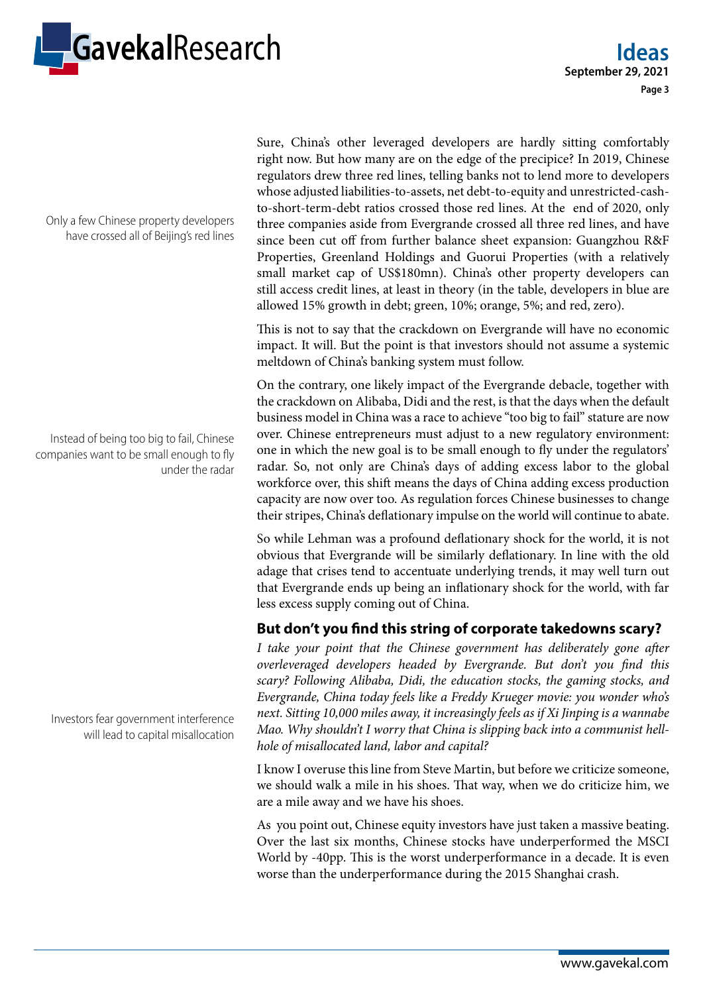

Only a few Chinese property developers have crossed all of Beijing's red lines

Instead of being too big to fail, Chinese companies want to be small enough to fly under the radar

Investors fear government interference will lead to capital misallocation Sure, China's other leveraged developers are hardly sitting comfortably right now. But how many are on the edge of the precipice? In 2019, Chinese regulators drew three red lines, telling banks not to lend more to developers whose adjusted liabilities-to-assets, net debt-to-equity and unrestricted-cashto-short-term-debt ratios crossed those red lines. At the end of 2020, only three companies aside from Evergrande crossed all three red lines, and have since been cut off from further balance sheet expansion: Guangzhou R&F Properties, Greenland Holdings and Guorui Properties (with a relatively small market cap of US\$180mn). China's other property developers can still access credit lines, at least in theory (in the table, developers in blue are allowed 15% growth in debt; green, 10%; orange, 5%; and red, zero).

This is not to say that the crackdown on Evergrande will have no economic impact. It will. But the point is that investors should not assume a systemic meltdown of China's banking system must follow.

On the contrary, one likely impact of the Evergrande debacle, together with the crackdown on Alibaba, Didi and the rest, is that the days when the default business model in China was a race to achieve "too big to fail" stature are now over. Chinese entrepreneurs must adjust to a new regulatory environment: one in which the new goal is to be small enough to fly under the regulators' radar. So, not only are China's days of adding excess labor to the global workforce over, this shift means the days of China adding excess production capacity are now over too. As regulation forces Chinese businesses to change their stripes, China's deflationary impulse on the world will continue to abate.

So while Lehman was a profound deflationary shock for the world, it is not obvious that Evergrande will be similarly deflationary. In line with the old adage that crises tend to accentuate underlying trends, it may well turn out that Evergrande ends up being an inflationary shock for the world, with far less excess supply coming out of China.

## **But don't you find this string of corporate takedowns scary?**

*I take your point that the Chinese government has deliberately gone after overleveraged developers headed by Evergrande. But don't you find this scary? Following Alibaba, Didi, the education stocks, the gaming stocks, and Evergrande, China today feels like a Freddy Krueger movie: you wonder who's next. Sitting 10,000 miles away, it increasingly feels as if Xi Jinping is a wannabe Mao. Why shouldn't I worry that China is slipping back into a communist hellhole of misallocated land, labor and capital?*

I know I overuse this line from Steve Martin, but before we criticize someone, we should walk a mile in his shoes. That way, when we do criticize him, we are a mile away and we have his shoes.

As you point out, Chinese equity investors have just taken a massive beating. Over the last six months, Chinese stocks have underperformed the MSCI World by -40pp. This is the worst underperformance in a decade. It is even worse than the underperformance during the 2015 Shanghai crash.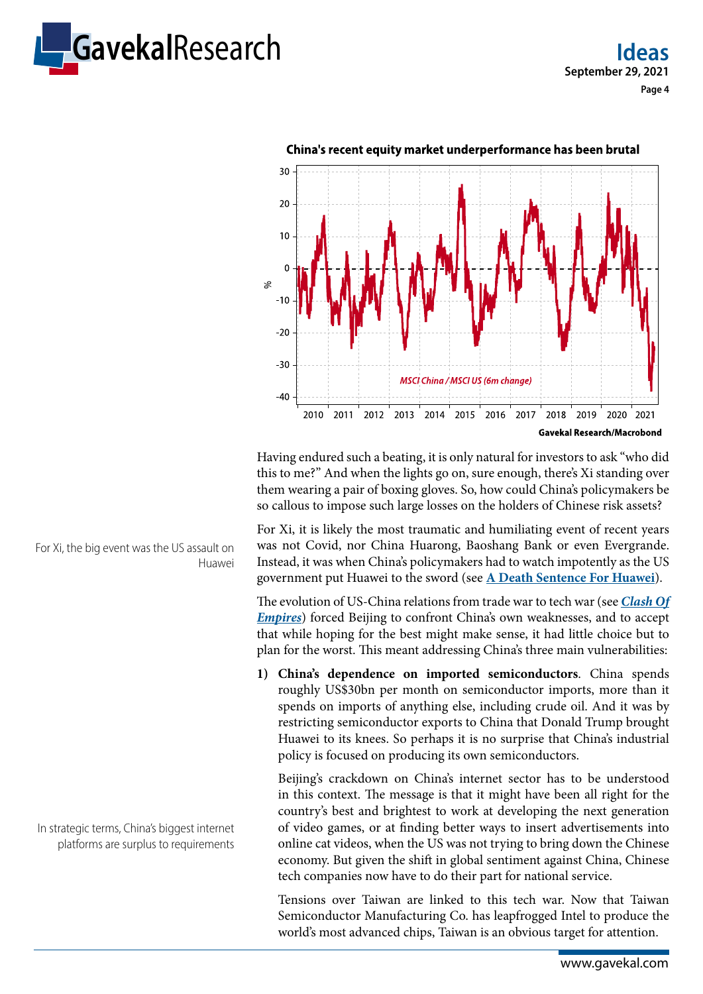



Having endured such a beating, it is only natural for investors to ask "who did this to me?" And when the lights go on, sure enough, there's Xi standing over them wearing a pair of boxing gloves. So, how could China's policymakers be so callous to impose such large losses on the holders of Chinese risk assets?

For Xi, it is likely the most traumatic and humiliating event of recent years was not Covid, nor China Huarong, Baoshang Bank or even Evergrande. Instead, it was when China's policymakers had to watch impotently as the US government put Huawei to the sword (see **[A Death Sentence For Huawei](https://research.gavekal.com/article/death-sentence-huawei)**).

The evolution of US-China relations from trade war to tech war (see *[Clash Of](https://books.gavekal.com/clash-of-empires-currencies-and-power-in-a-multipolar-world/)  [Empires](https://books.gavekal.com/clash-of-empires-currencies-and-power-in-a-multipolar-world/)*) forced Beijing to confront China's own weaknesses, and to accept that while hoping for the best might make sense, it had little choice but to plan for the worst. This meant addressing China's three main vulnerabilities:

**1) China's dependence on imported semiconductors**. China spends roughly US\$30bn per month on semiconductor imports, more than it spends on imports of anything else, including crude oil. And it was by restricting semiconductor exports to China that Donald Trump brought Huawei to its knees. So perhaps it is no surprise that China's industrial policy is focused on producing its own semiconductors.

Beijing's crackdown on China's internet sector has to be understood in this context. The message is that it might have been all right for the country's best and brightest to work at developing the next generation of video games, or at finding better ways to insert advertisements into online cat videos, when the US was not trying to bring down the Chinese economy. But given the shift in global sentiment against China, Chinese tech companies now have to do their part for national service.

Tensions over Taiwan are linked to this tech war. Now that Taiwan Semiconductor Manufacturing Co. has leapfrogged Intel to produce the world's most advanced chips, Taiwan is an obvious target for attention.

For Xi, the big event was the US assault on Huawei

In strategic terms, China's biggest internet platforms are surplus to requirements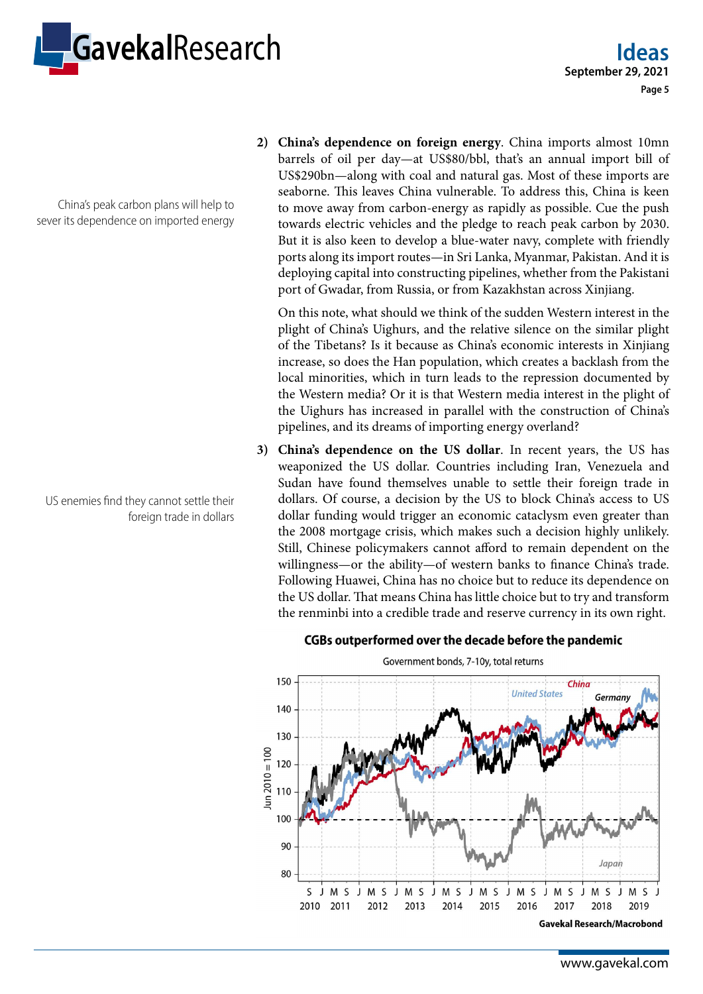

China's peak carbon plans will help to sever its dependence on imported energy

US enemies find they cannot settle their foreign trade in dollars

**2) China's dependence on foreign energy**. China imports almost 10mn barrels of oil per day—at US\$80/bbl, that's an annual import bill of US\$290bn—along with coal and natural gas. Most of these imports are seaborne. This leaves China vulnerable. To address this, China is keen to move away from carbon-energy as rapidly as possible. Cue the push towards electric vehicles and the pledge to reach peak carbon by 2030. But it is also keen to develop a blue-water navy, complete with friendly ports along its import routes—in Sri Lanka, Myanmar, Pakistan. And it is deploying capital into constructing pipelines, whether from the Pakistani port of Gwadar, from Russia, or from Kazakhstan across Xinjiang.

On this note, what should we think of the sudden Western interest in the plight of China's Uighurs, and the relative silence on the similar plight of the Tibetans? Is it because as China's economic interests in Xinjiang increase, so does the Han population, which creates a backlash from the local minorities, which in turn leads to the repression documented by the Western media? Or it is that Western media interest in the plight of the Uighurs has increased in parallel with the construction of China's pipelines, and its dreams of importing energy overland?

**3) China's dependence on the US dollar**. In recent years, the US has weaponized the US dollar. Countries including Iran, Venezuela and Sudan have found themselves unable to settle their foreign trade in dollars. Of course, a decision by the US to block China's access to US dollar funding would trigger an economic cataclysm even greater than the 2008 mortgage crisis, which makes such a decision highly unlikely. Still, Chinese policymakers cannot afford to remain dependent on the willingness—or the ability—of western banks to finance China's trade. Following Huawei, China has no choice but to reduce its dependence on the US dollar. That means China has little choice but to try and transform the renminbi into a credible trade and reserve currency in its own right.

#### CGBs outperformed over the decade before the pandemic



Government bonds, 7-10y, total returns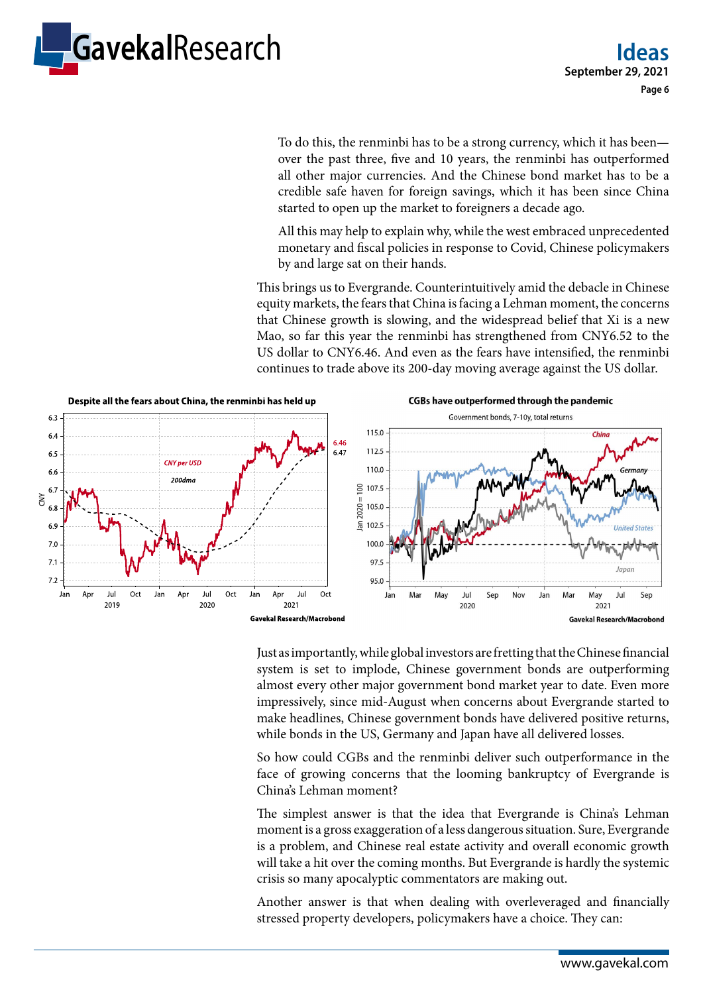

To do this, the renminbi has to be a strong currency, which it has been over the past three, five and 10 years, the renminbi has outperformed all other major currencies. And the Chinese bond market has to be a credible safe haven for foreign savings, which it has been since China started to open up the market to foreigners a decade ago.

All this may help to explain why, while the west embraced unprecedented monetary and fiscal policies in response to Covid, Chinese policymakers by and large sat on their hands.

This brings us to Evergrande. Counterintuitively amid the debacle in Chinese equity markets, the fears that China is facing a Lehman moment, the concerns that Chinese growth is slowing, and the widespread belief that Xi is a new Mao, so far this year the renminbi has strengthened from CNY6.52 to the US dollar to CNY6.46. And even as the fears have intensified, the renminbi continues to trade above its 200-day moving average against the US dollar.



Just as importantly, while global investors are fretting that the Chinese financial system is set to implode, Chinese government bonds are outperforming almost every other major government bond market year to date. Even more impressively, since mid-August when concerns about Evergrande started to make headlines, Chinese government bonds have delivered positive returns, while bonds in the US, Germany and Japan have all delivered losses.

So how could CGBs and the renminbi deliver such outperformance in the face of growing concerns that the looming bankruptcy of Evergrande is China's Lehman moment?

The simplest answer is that the idea that Evergrande is China's Lehman moment is a gross exaggeration of a less dangerous situation. Sure, Evergrande is a problem, and Chinese real estate activity and overall economic growth will take a hit over the coming months. But Evergrande is hardly the systemic crisis so many apocalyptic commentators are making out.

Another answer is that when dealing with overleveraged and financially stressed property developers, policymakers have a choice. They can: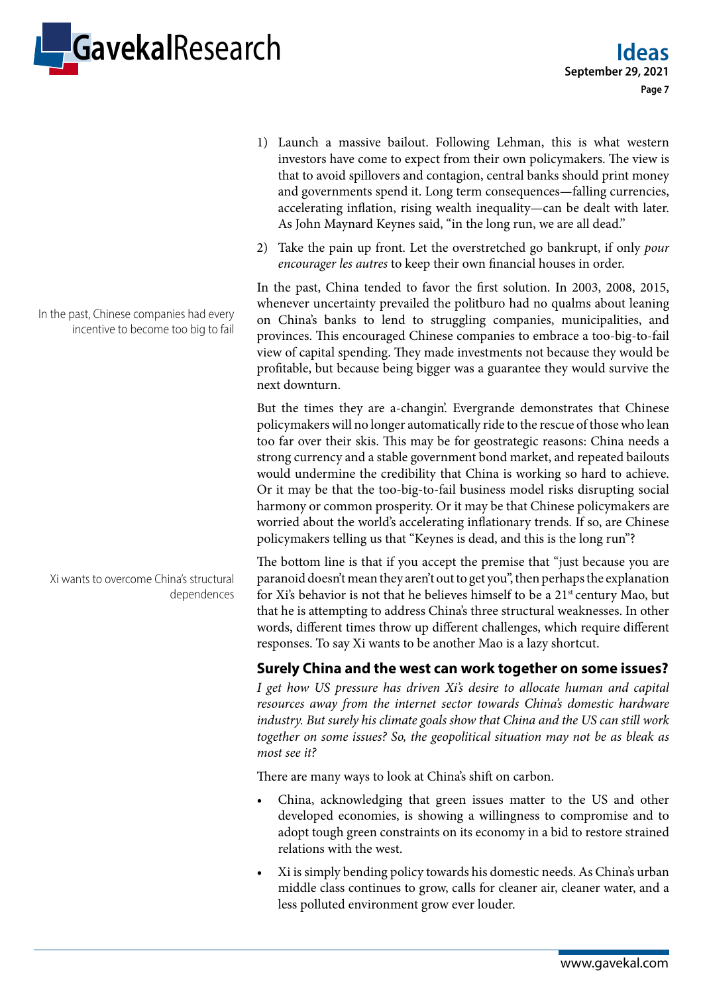

- 1) Launch a massive bailout. Following Lehman, this is what western investors have come to expect from their own policymakers. The view is that to avoid spillovers and contagion, central banks should print money and governments spend it. Long term consequences—falling currencies, accelerating inflation, rising wealth inequality—can be dealt with later. As John Maynard Keynes said, "in the long run, we are all dead."
- 2) Take the pain up front. Let the overstretched go bankrupt, if only *pour encourager les autres* to keep their own financial houses in order.

In the past, China tended to favor the first solution. In 2003, 2008, 2015, whenever uncertainty prevailed the politburo had no qualms about leaning on China's banks to lend to struggling companies, municipalities, and provinces. This encouraged Chinese companies to embrace a too-big-to-fail view of capital spending. They made investments not because they would be profitable, but because being bigger was a guarantee they would survive the next downturn.

But the times they are a-changin'. Evergrande demonstrates that Chinese policymakers will no longer automatically ride to the rescue of those who lean too far over their skis. This may be for geostrategic reasons: China needs a strong currency and a stable government bond market, and repeated bailouts would undermine the credibility that China is working so hard to achieve. Or it may be that the too-big-to-fail business model risks disrupting social harmony or common prosperity. Or it may be that Chinese policymakers are worried about the world's accelerating inflationary trends. If so, are Chinese policymakers telling us that "Keynes is dead, and this is the long run"?

The bottom line is that if you accept the premise that "just because you are paranoid doesn't mean they aren't out to get you", then perhaps the explanation for Xi's behavior is not that he believes himself to be a 21<sup>st</sup> century Mao, but that he is attempting to address China's three structural weaknesses. In other words, different times throw up different challenges, which require different responses. To say Xi wants to be another Mao is a lazy shortcut.

## **Surely China and the west can work together on some issues?**

*I get how US pressure has driven Xi's desire to allocate human and capital resources away from the internet sector towards China's domestic hardware industry. But surely his climate goals show that China and the US can still work together on some issues? So, the geopolitical situation may not be as bleak as most see it?*

There are many ways to look at China's shift on carbon.

- China, acknowledging that green issues matter to the US and other developed economies, is showing a willingness to compromise and to adopt tough green constraints on its economy in a bid to restore strained relations with the west.
- Xi is simply bending policy towards his domestic needs. As China's urban middle class continues to grow, calls for cleaner air, cleaner water, and a less polluted environment grow ever louder.

In the past, Chinese companies had every incentive to become too big to fail

Xi wants to overcome China's structural dependences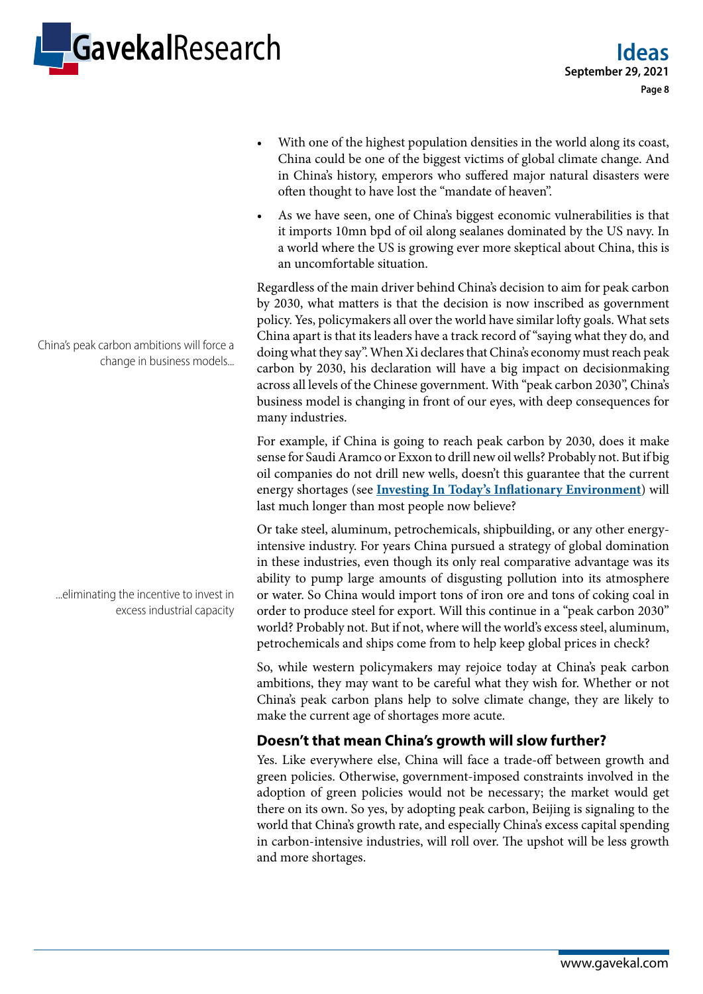

With one of the highest population densities in the world along its coast, China could be one of the biggest victims of global climate change. And in China's history, emperors who suffered major natural disasters were often thought to have lost the "mandate of heaven".

• As we have seen, one of China's biggest economic vulnerabilities is that it imports 10mn bpd of oil along sealanes dominated by the US navy. In a world where the US is growing ever more skeptical about China, this is an uncomfortable situation.

Regardless of the main driver behind China's decision to aim for peak carbon by 2030, what matters is that the decision is now inscribed as government policy. Yes, policymakers all over the world have similar lofty goals. What sets China apart is that its leaders have a track record of "saying what they do, and doing what they say". When Xi declares that China's economy must reach peak carbon by 2030, his declaration will have a big impact on decisionmaking across all levels of the Chinese government. With "peak carbon 2030", China's business model is changing in front of our eyes, with deep consequences for many industries.

For example, if China is going to reach peak carbon by 2030, does it make sense for Saudi Aramco or Exxon to drill new oil wells? Probably not. But if big oil companies do not drill new wells, doesn't this guarantee that the current energy shortages (see **[Investing In Today's Inflationary Environment](https://research.gavekal.com/article/investing-today%E2%80%99s-inflationary-environment)**) will last much longer than most people now believe?

Or take steel, aluminum, petrochemicals, shipbuilding, or any other energyintensive industry. For years China pursued a strategy of global domination in these industries, even though its only real comparative advantage was its ability to pump large amounts of disgusting pollution into its atmosphere or water. So China would import tons of iron ore and tons of coking coal in order to produce steel for export. Will this continue in a "peak carbon 2030" world? Probably not. But if not, where will the world's excess steel, aluminum, petrochemicals and ships come from to help keep global prices in check?

So, while western policymakers may rejoice today at China's peak carbon ambitions, they may want to be careful what they wish for. Whether or not China's peak carbon plans help to solve climate change, they are likely to make the current age of shortages more acute.

## **Doesn't that mean China's growth will slow further?**

Yes. Like everywhere else, China will face a trade-off between growth and green policies. Otherwise, government-imposed constraints involved in the adoption of green policies would not be necessary; the market would get there on its own. So yes, by adopting peak carbon, Beijing is signaling to the world that China's growth rate, and especially China's excess capital spending in carbon-intensive industries, will roll over. The upshot will be less growth and more shortages.

China's peak carbon ambitions will force a change in business models...

...eliminating the incentive to invest in excess industrial capacity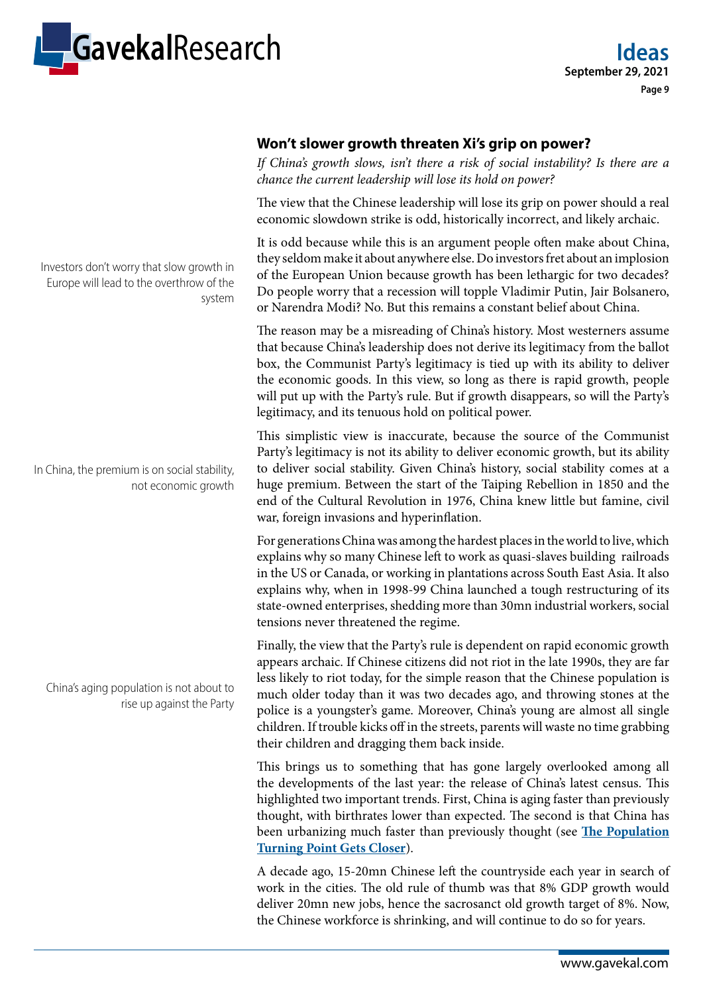

## **Won't slower growth threaten Xi's grip on power?**

*If China's growth slows, isn't there a risk of social instability? Is there are a chance the current leadership will lose its hold on power?*

The view that the Chinese leadership will lose its grip on power should a real economic slowdown strike is odd, historically incorrect, and likely archaic.

It is odd because while this is an argument people often make about China, they seldom make it about anywhere else. Do investors fret about an implosion of the European Union because growth has been lethargic for two decades? Do people worry that a recession will topple Vladimir Putin, Jair Bolsanero, or Narendra Modi? No. But this remains a constant belief about China.

The reason may be a misreading of China's history. Most westerners assume that because China's leadership does not derive its legitimacy from the ballot box, the Communist Party's legitimacy is tied up with its ability to deliver the economic goods. In this view, so long as there is rapid growth, people will put up with the Party's rule. But if growth disappears, so will the Party's legitimacy, and its tenuous hold on political power.

This simplistic view is inaccurate, because the source of the Communist Party's legitimacy is not its ability to deliver economic growth, but its ability to deliver social stability. Given China's history, social stability comes at a huge premium. Between the start of the Taiping Rebellion in 1850 and the end of the Cultural Revolution in 1976, China knew little but famine, civil war, foreign invasions and hyperinflation.

For generations China was among the hardest places in the world to live, which explains why so many Chinese left to work as quasi-slaves building railroads in the US or Canada, or working in plantations across South East Asia. It also explains why, when in 1998-99 China launched a tough restructuring of its state-owned enterprises, shedding more than 30mn industrial workers, social tensions never threatened the regime.

Finally, the view that the Party's rule is dependent on rapid economic growth appears archaic. If Chinese citizens did not riot in the late 1990s, they are far less likely to riot today, for the simple reason that the Chinese population is much older today than it was two decades ago, and throwing stones at the police is a youngster's game. Moreover, China's young are almost all single children. If trouble kicks off in the streets, parents will waste no time grabbing their children and dragging them back inside.

This brings us to something that has gone largely overlooked among all the developments of the last year: the release of China's latest census. This highlighted two important trends. First, China is aging faster than previously thought, with birthrates lower than expected. The second is that China has been urbanizing much faster than previously thought (see **[The Population](https://research.gavekal.com/article/population-turning-point-gets-closer)  [Turning Point Gets Closer](https://research.gavekal.com/article/population-turning-point-gets-closer)**).

A decade ago, 15-20mn Chinese left the countryside each year in search of work in the cities. The old rule of thumb was that 8% GDP growth would deliver 20mn new jobs, hence the sacrosanct old growth target of 8%. Now, the Chinese workforce is shrinking, and will continue to do so for years.

Investors don't worry that slow growth in Europe will lead to the overthrow of the system

In China, the premium is on social stability, not economic growth

China's aging population is not about to rise up against the Party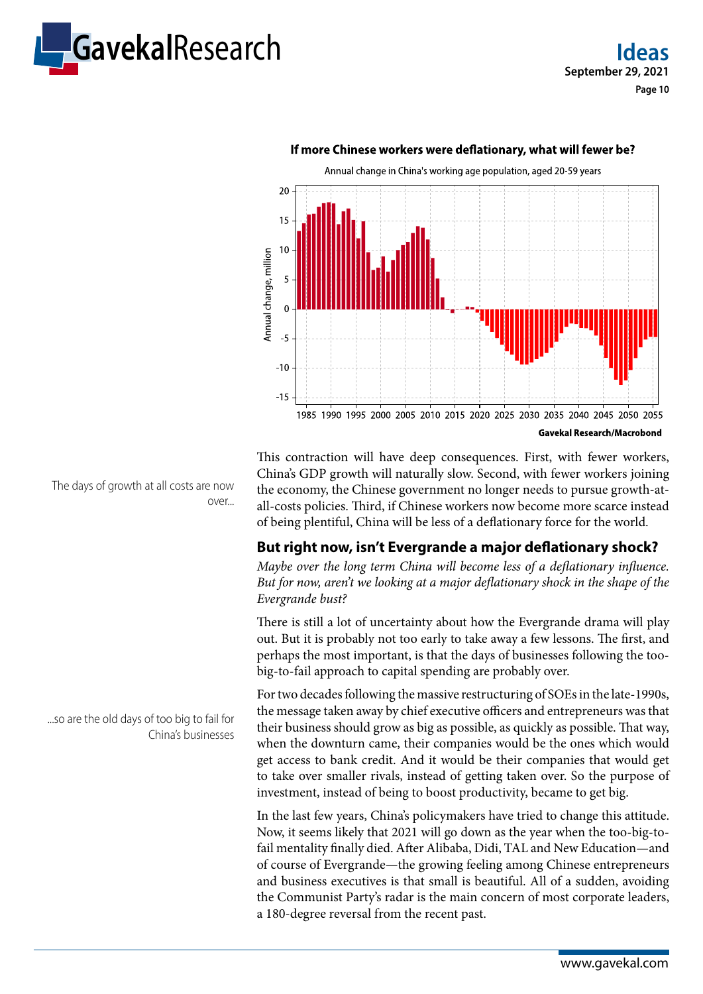



#### If more Chinese workers were deflationary, what will fewer be?

This contraction will have deep consequences. First, with fewer workers, China's GDP growth will naturally slow. Second, with fewer workers joining the economy, the Chinese government no longer needs to pursue growth-atall-costs policies. Third, if Chinese workers now become more scarce instead

## **But right now, isn't Evergrande a major deflationary shock?**

of being plentiful, China will be less of a deflationary force for the world.

*Maybe over the long term China will become less of a deflationary influence. But for now, aren't we looking at a major deflationary shock in the shape of the Evergrande bust?*

There is still a lot of uncertainty about how the Evergrande drama will play out. But it is probably not too early to take away a few lessons. The first, and perhaps the most important, is that the days of businesses following the toobig-to-fail approach to capital spending are probably over.

For two decades following the massive restructuring of SOEs in the late-1990s, the message taken away by chief executive officers and entrepreneurs was that their business should grow as big as possible, as quickly as possible. That way, when the downturn came, their companies would be the ones which would get access to bank credit. And it would be their companies that would get to take over smaller rivals, instead of getting taken over. So the purpose of investment, instead of being to boost productivity, became to get big.

In the last few years, China's policymakers have tried to change this attitude. Now, it seems likely that 2021 will go down as the year when the too-big-tofail mentality finally died. After Alibaba, Didi, TAL and New Education—and of course of Evergrande—the growing feeling among Chinese entrepreneurs and business executives is that small is beautiful. All of a sudden, avoiding the Communist Party's radar is the main concern of most corporate leaders, a 180-degree reversal from the recent past.

The days of growth at all costs are now over...

...so are the old days of too big to fail for China's businesses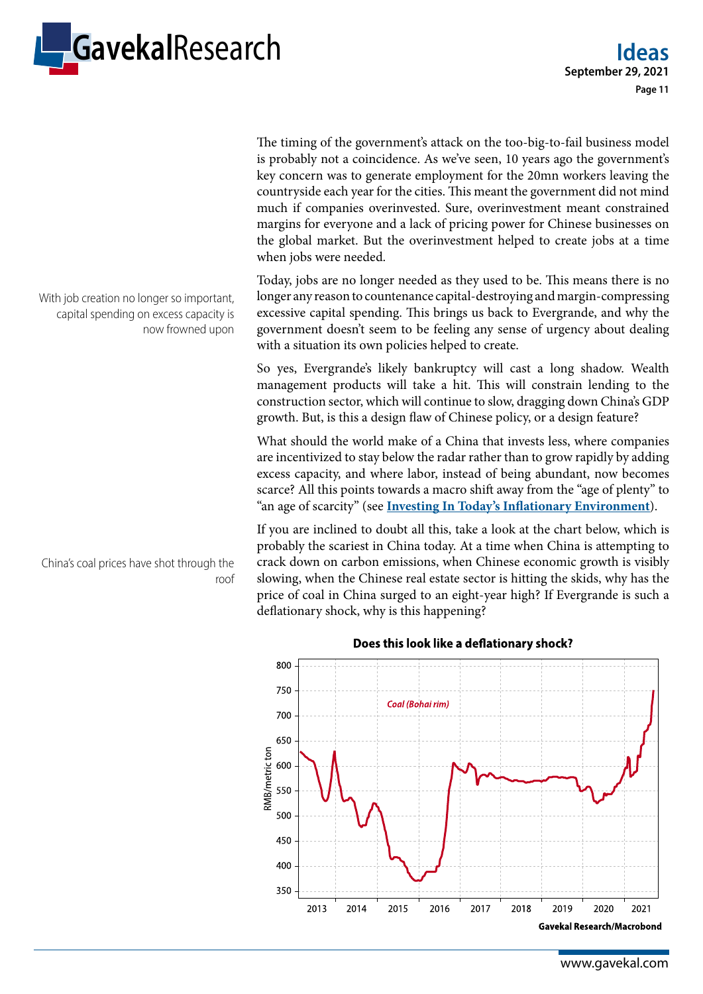

The timing of the government's attack on the too-big-to-fail business model is probably not a coincidence. As we've seen, 10 years ago the government's key concern was to generate employment for the 20mn workers leaving the countryside each year for the cities. This meant the government did not mind much if companies overinvested. Sure, overinvestment meant constrained margins for everyone and a lack of pricing power for Chinese businesses on the global market. But the overinvestment helped to create jobs at a time when jobs were needed.

Today, jobs are no longer needed as they used to be. This means there is no longer any reason to countenance capital-destroying and margin-compressing excessive capital spending. This brings us back to Evergrande, and why the government doesn't seem to be feeling any sense of urgency about dealing with a situation its own policies helped to create.

So yes, Evergrande's likely bankruptcy will cast a long shadow. Wealth management products will take a hit. This will constrain lending to the construction sector, which will continue to slow, dragging down China's GDP growth. But, is this a design flaw of Chinese policy, or a design feature?

What should the world make of a China that invests less, where companies are incentivized to stay below the radar rather than to grow rapidly by adding excess capacity, and where labor, instead of being abundant, now becomes scarce? All this points towards a macro shift away from the "age of plenty" to "an age of scarcity" (see **[Investing In Today's Inflationary Environment](https://research.gavekal.com/article/investing-today%E2%80%99s-inflationary-environment)**).

If you are inclined to doubt all this, take a look at the chart below, which is probably the scariest in China today. At a time when China is attempting to crack down on carbon emissions, when Chinese economic growth is visibly slowing, when the Chinese real estate sector is hitting the skids, why has the price of coal in China surged to an eight-year high? If Evergrande is such a deflationary shock, why is this happening?



With job creation no longer so important, capital spending on excess capacity is now frowned upon

China's coal prices have shot through the roof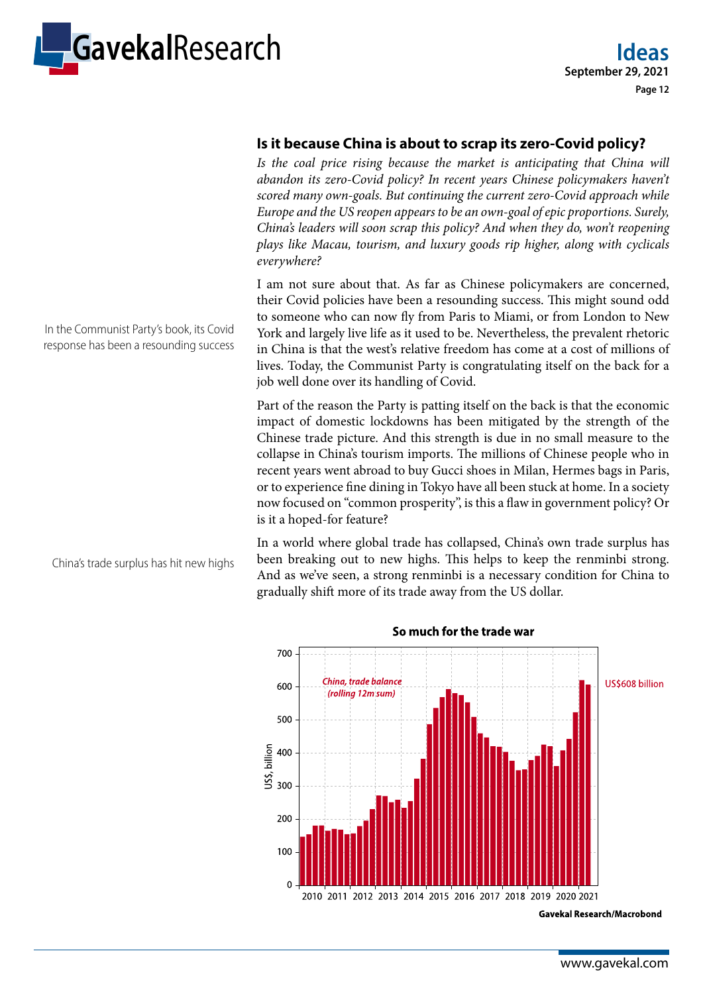

#### **Is it because China is about to scrap its zero-Covid policy?**

Is the coal price rising because the market is anticipating that China will abandon its zero-Covid policy? In recent years Chinese policymakers haven't *scored many own-goals. But continuing the current zero-Covid approach while Europe and the US reopen appears to be an own-goal of epic proportions. Surely, China's leaders will soon scrap this policy? And when they do, won't reopening plays like Macau, tourism, and luxury goods rip higher, along with cyclicals everywhere?*

I am not sure about that. As far as Chinese policymakers are concerned, their Covid policies have been a resounding success. This might sound odd to someone who can now fly from Paris to Miami, or from London to New York and largely live life as it used to be. Nevertheless, the prevalent rhetoric in China is that the west's relative freedom has come at a cost of millions of lives. Today, the Communist Party is congratulating itself on the back for a job well done over its handling of Covid.

Part of the reason the Party is patting itself on the back is that the economic impact of domestic lockdowns has been mitigated by the strength of the Chinese trade picture. And this strength is due in no small measure to the collapse in China's tourism imports. The millions of Chinese people who in recent years went abroad to buy Gucci shoes in Milan, Hermes bags in Paris, or to experience fine dining in Tokyo have all been stuck at home. In a society now focused on "common prosperity", is this a flaw in government policy? Or is it a hoped-for feature?

In a world where global trade has collapsed, China's own trade surplus has been breaking out to new highs. This helps to keep the renminbi strong. And as we've seen, a strong renminbi is a necessary condition for China to gradually shift more of its trade away from the US dollar.



**Gavekal Research/Macrobond** 

In the Communist Party's book, its Covid response has been a resounding success

China's trade surplus has hit new highs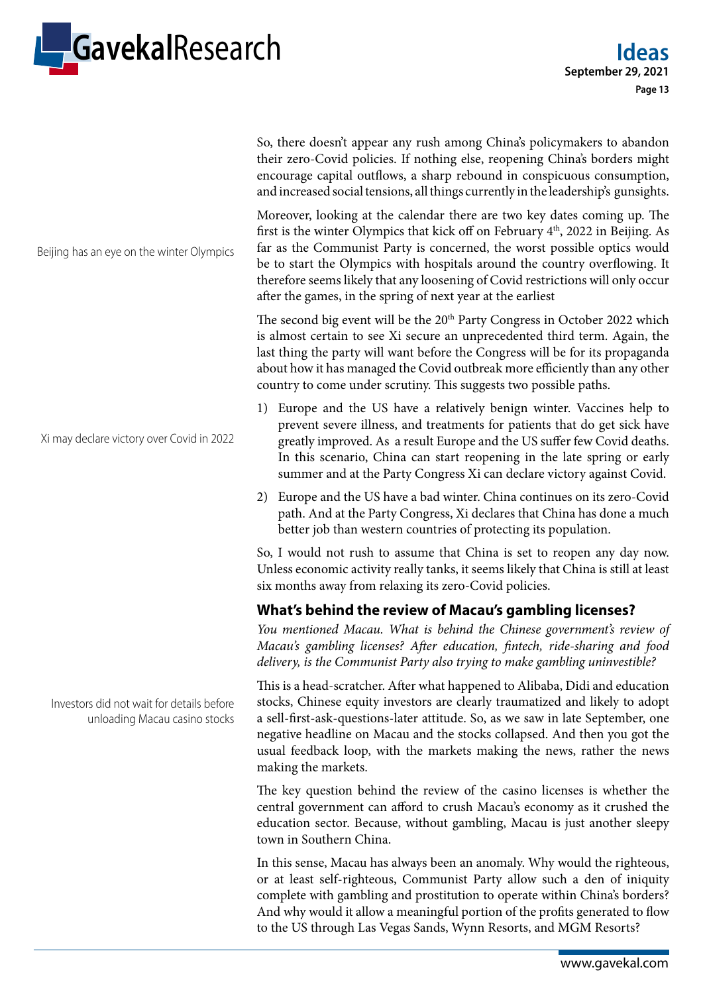

So, there doesn't appear any rush among China's policymakers to abandon their zero-Covid policies. If nothing else, reopening China's borders might encourage capital outflows, a sharp rebound in conspicuous consumption, and increased social tensions, all things currently in the leadership's gunsights.

Moreover, looking at the calendar there are two key dates coming up. The first is the winter Olympics that kick off on February  $4<sup>th</sup>$ , 2022 in Beijing. As far as the Communist Party is concerned, the worst possible optics would be to start the Olympics with hospitals around the country overflowing. It therefore seems likely that any loosening of Covid restrictions will only occur after the games, in the spring of next year at the earliest

The second big event will be the 20<sup>th</sup> Party Congress in October 2022 which is almost certain to see Xi secure an unprecedented third term. Again, the last thing the party will want before the Congress will be for its propaganda about how it has managed the Covid outbreak more efficiently than any other country to come under scrutiny. This suggests two possible paths.

- 1) Europe and the US have a relatively benign winter. Vaccines help to prevent severe illness, and treatments for patients that do get sick have greatly improved. As a result Europe and the US suffer few Covid deaths. In this scenario, China can start reopening in the late spring or early summer and at the Party Congress Xi can declare victory against Covid.
- 2) Europe and the US have a bad winter. China continues on its zero-Covid path. And at the Party Congress, Xi declares that China has done a much better job than western countries of protecting its population.

So, I would not rush to assume that China is set to reopen any day now. Unless economic activity really tanks, it seems likely that China is still at least six months away from relaxing its zero-Covid policies.

## **What's behind the review of Macau's gambling licenses?**

*You mentioned Macau. What is behind the Chinese government's review of Macau's gambling licenses? After education, fintech, ride-sharing and food delivery, is the Communist Party also trying to make gambling uninvestible?*

This is a head-scratcher. After what happened to Alibaba, Didi and education stocks, Chinese equity investors are clearly traumatized and likely to adopt a sell-first-ask-questions-later attitude. So, as we saw in late September, one negative headline on Macau and the stocks collapsed. And then you got the usual feedback loop, with the markets making the news, rather the news making the markets.

The key question behind the review of the casino licenses is whether the central government can afford to crush Macau's economy as it crushed the education sector. Because, without gambling, Macau is just another sleepy town in Southern China.

In this sense, Macau has always been an anomaly. Why would the righteous, or at least self-righteous, Communist Party allow such a den of iniquity complete with gambling and prostitution to operate within China's borders? And why would it allow a meaningful portion of the profits generated to flow to the US through Las Vegas Sands, Wynn Resorts, and MGM Resorts?

Beijing has an eye on the winter Olympics

Xi may declare victory over Covid in 2022

Investors did not wait for details before unloading Macau casino stocks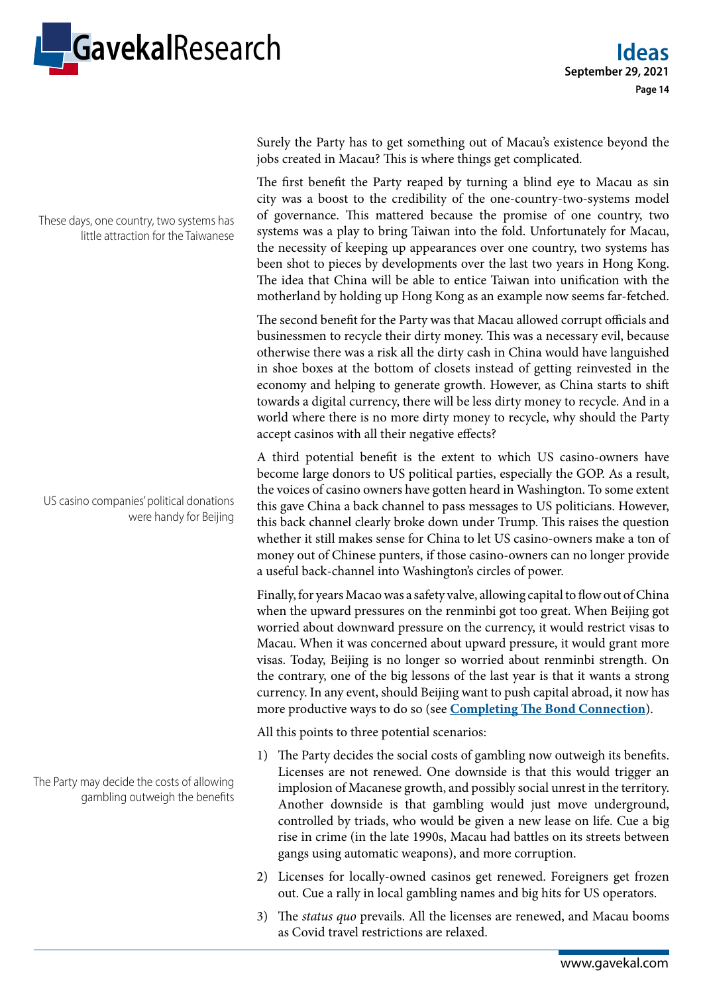

Surely the Party has to get something out of Macau's existence beyond the jobs created in Macau? This is where things get complicated.

The first benefit the Party reaped by turning a blind eye to Macau as sin city was a boost to the credibility of the one-country-two-systems model of governance. This mattered because the promise of one country, two systems was a play to bring Taiwan into the fold. Unfortunately for Macau, the necessity of keeping up appearances over one country, two systems has been shot to pieces by developments over the last two years in Hong Kong. The idea that China will be able to entice Taiwan into unification with the motherland by holding up Hong Kong as an example now seems far-fetched.

The second benefit for the Party was that Macau allowed corrupt officials and businessmen to recycle their dirty money. This was a necessary evil, because otherwise there was a risk all the dirty cash in China would have languished in shoe boxes at the bottom of closets instead of getting reinvested in the economy and helping to generate growth. However, as China starts to shift towards a digital currency, there will be less dirty money to recycle. And in a world where there is no more dirty money to recycle, why should the Party accept casinos with all their negative effects?

A third potential benefit is the extent to which US casino-owners have become large donors to US political parties, especially the GOP. As a result, the voices of casino owners have gotten heard in Washington. To some extent this gave China a back channel to pass messages to US politicians. However, this back channel clearly broke down under Trump. This raises the question whether it still makes sense for China to let US casino-owners make a ton of money out of Chinese punters, if those casino-owners can no longer provide a useful back-channel into Washington's circles of power.

Finally, for years Macao was a safety valve, allowing capital to flow out of China when the upward pressures on the renminbi got too great. When Beijing got worried about downward pressure on the currency, it would restrict visas to Macau. When it was concerned about upward pressure, it would grant more visas. Today, Beijing is no longer so worried about renminbi strength. On the contrary, one of the big lessons of the last year is that it wants a strong currency. In any event, should Beijing want to push capital abroad, it now has more productive ways to do so (see **[Completing The Bond Connection](https://research.gavekal.com/article/completing-bond-connection)**).

All this points to three potential scenarios:

- 1) The Party decides the social costs of gambling now outweigh its benefits. Licenses are not renewed. One downside is that this would trigger an implosion of Macanese growth, and possibly social unrest in the territory. Another downside is that gambling would just move underground, controlled by triads, who would be given a new lease on life. Cue a big rise in crime (in the late 1990s, Macau had battles on its streets between gangs using automatic weapons), and more corruption.
- 2) Licenses for locally-owned casinos get renewed. Foreigners get frozen out. Cue a rally in local gambling names and big hits for US operators.
- 3) The *status quo* prevails. All the licenses are renewed, and Macau booms as Covid travel restrictions are relaxed.

These days, one country, two systems has little attraction for the Taiwanese

US casino companies' political donations were handy for Beijing

The Party may decide the costs of allowing gambling outweigh the benefits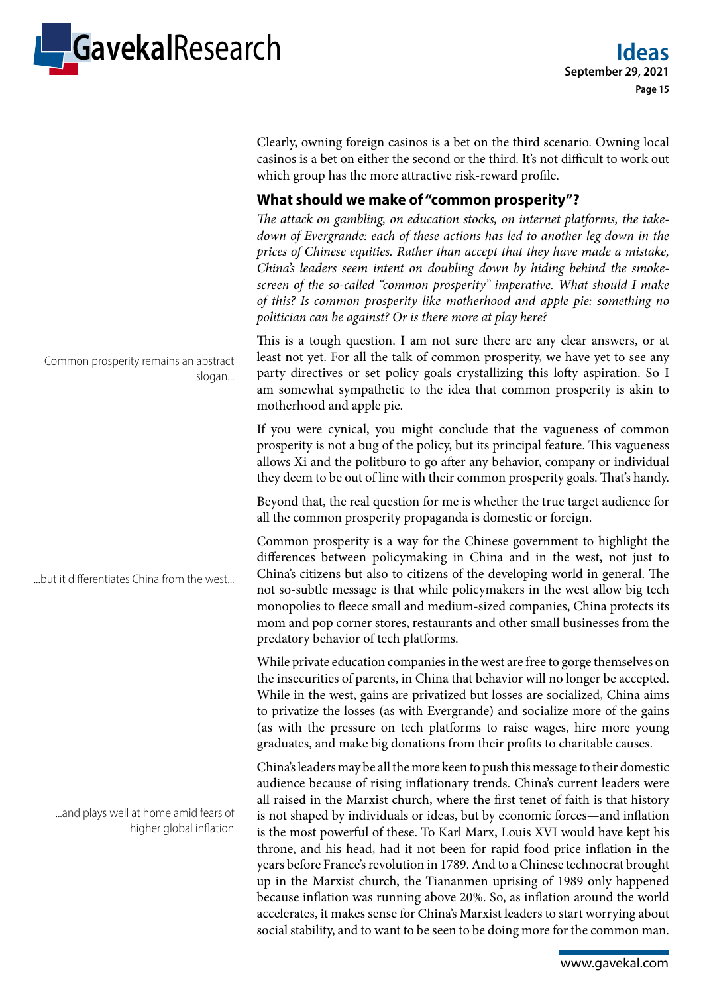

Clearly, owning foreign casinos is a bet on the third scenario. Owning local casinos is a bet on either the second or the third. It's not difficult to work out which group has the more attractive risk-reward profile.

## **What should we make of "common prosperity"?**

*The attack on gambling, on education stocks, on internet platforms, the takedown of Evergrande: each of these actions has led to another leg down in the prices of Chinese equities. Rather than accept that they have made a mistake, China's leaders seem intent on doubling down by hiding behind the smokescreen of the so-called "common prosperity" imperative. What should I make of this? Is common prosperity like motherhood and apple pie: something no politician can be against? Or is there more at play here?*

This is a tough question. I am not sure there are any clear answers, or at least not yet. For all the talk of common prosperity, we have yet to see any party directives or set policy goals crystallizing this lofty aspiration. So I am somewhat sympathetic to the idea that common prosperity is akin to motherhood and apple pie.

If you were cynical, you might conclude that the vagueness of common prosperity is not a bug of the policy, but its principal feature. This vagueness allows Xi and the politburo to go after any behavior, company or individual they deem to be out of line with their common prosperity goals. That's handy.

Beyond that, the real question for me is whether the true target audience for all the common prosperity propaganda is domestic or foreign.

Common prosperity is a way for the Chinese government to highlight the differences between policymaking in China and in the west, not just to China's citizens but also to citizens of the developing world in general. The not so-subtle message is that while policymakers in the west allow big tech monopolies to fleece small and medium-sized companies, China protects its mom and pop corner stores, restaurants and other small businesses from the predatory behavior of tech platforms.

While private education companies in the west are free to gorge themselves on the insecurities of parents, in China that behavior will no longer be accepted. While in the west, gains are privatized but losses are socialized, China aims to privatize the losses (as with Evergrande) and socialize more of the gains (as with the pressure on tech platforms to raise wages, hire more young graduates, and make big donations from their profits to charitable causes.

China's leaders may be all the more keen to push this message to their domestic audience because of rising inflationary trends. China's current leaders were all raised in the Marxist church, where the first tenet of faith is that history is not shaped by individuals or ideas, but by economic forces—and inflation is the most powerful of these. To Karl Marx, Louis XVI would have kept his throne, and his head, had it not been for rapid food price inflation in the years before France's revolution in 1789. And to a Chinese technocrat brought up in the Marxist church, the Tiananmen uprising of 1989 only happened because inflation was running above 20%. So, as inflation around the world accelerates, it makes sense for China's Marxist leaders to start worrying about social stability, and to want to be seen to be doing more for the common man.

Common prosperity remains an abstract slogan...

...but it differentiates China from the west...

...and plays well at home amid fears of higher global inflation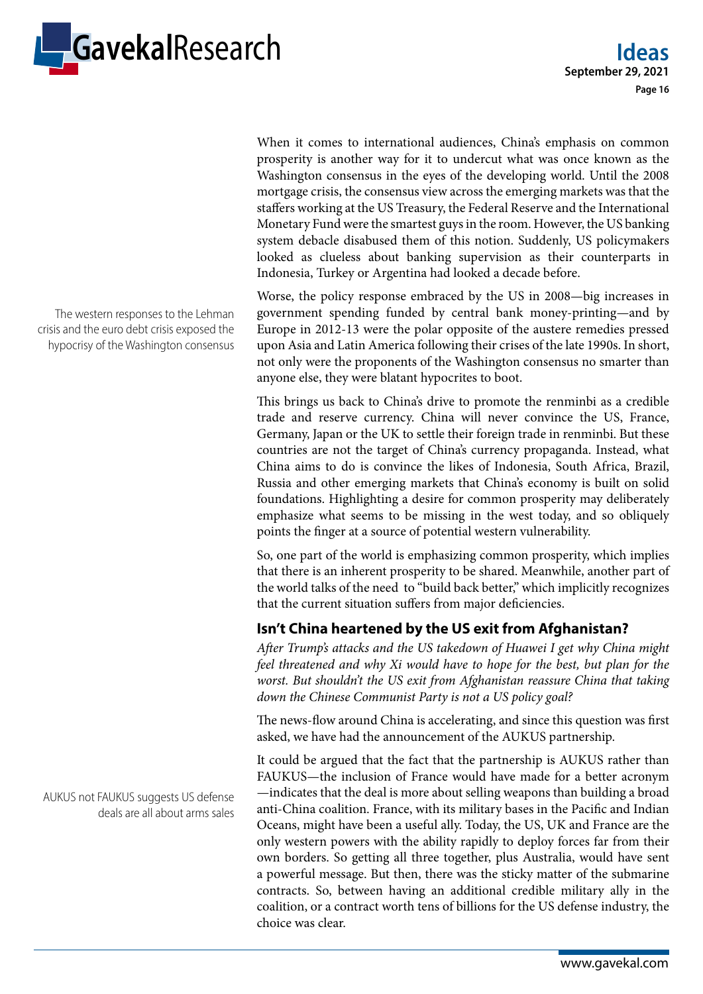

When it comes to international audiences, China's emphasis on common prosperity is another way for it to undercut what was once known as the Washington consensus in the eyes of the developing world. Until the 2008 mortgage crisis, the consensus view across the emerging markets was that the staffers working at the US Treasury, the Federal Reserve and the International Monetary Fund were the smartest guys in the room. However, the US banking system debacle disabused them of this notion. Suddenly, US policymakers looked as clueless about banking supervision as their counterparts in Indonesia, Turkey or Argentina had looked a decade before.

Worse, the policy response embraced by the US in 2008—big increases in government spending funded by central bank money-printing—and by Europe in 2012-13 were the polar opposite of the austere remedies pressed upon Asia and Latin America following their crises of the late 1990s. In short, not only were the proponents of the Washington consensus no smarter than anyone else, they were blatant hypocrites to boot.

This brings us back to China's drive to promote the renminbi as a credible trade and reserve currency. China will never convince the US, France, Germany, Japan or the UK to settle their foreign trade in renminbi. But these countries are not the target of China's currency propaganda. Instead, what China aims to do is convince the likes of Indonesia, South Africa, Brazil, Russia and other emerging markets that China's economy is built on solid foundations. Highlighting a desire for common prosperity may deliberately emphasize what seems to be missing in the west today, and so obliquely points the finger at a source of potential western vulnerability.

So, one part of the world is emphasizing common prosperity, which implies that there is an inherent prosperity to be shared. Meanwhile, another part of the world talks of the need to "build back better," which implicitly recognizes that the current situation suffers from major deficiencies.

## **Isn't China heartened by the US exit from Afghanistan?**

*After Trump's attacks and the US takedown of Huawei I get why China might feel threatened and why Xi would have to hope for the best, but plan for the worst. But shouldn't the US exit from Afghanistan reassure China that taking down the Chinese Communist Party is not a US policy goal?*

The news-flow around China is accelerating, and since this question was first asked, we have had the announcement of the AUKUS partnership.

It could be argued that the fact that the partnership is AUKUS rather than FAUKUS—the inclusion of France would have made for a better acronym —indicates that the deal is more about selling weapons than building a broad anti-China coalition. France, with its military bases in the Pacific and Indian Oceans, might have been a useful ally. Today, the US, UK and France are the only western powers with the ability rapidly to deploy forces far from their own borders. So getting all three together, plus Australia, would have sent a powerful message. But then, there was the sticky matter of the submarine contracts. So, between having an additional credible military ally in the coalition, or a contract worth tens of billions for the US defense industry, the choice was clear.

The western responses to the Lehman crisis and the euro debt crisis exposed the hypocrisy of the Washington consensus

AUKUS not FAUKUS suggests US defense deals are all about arms sales